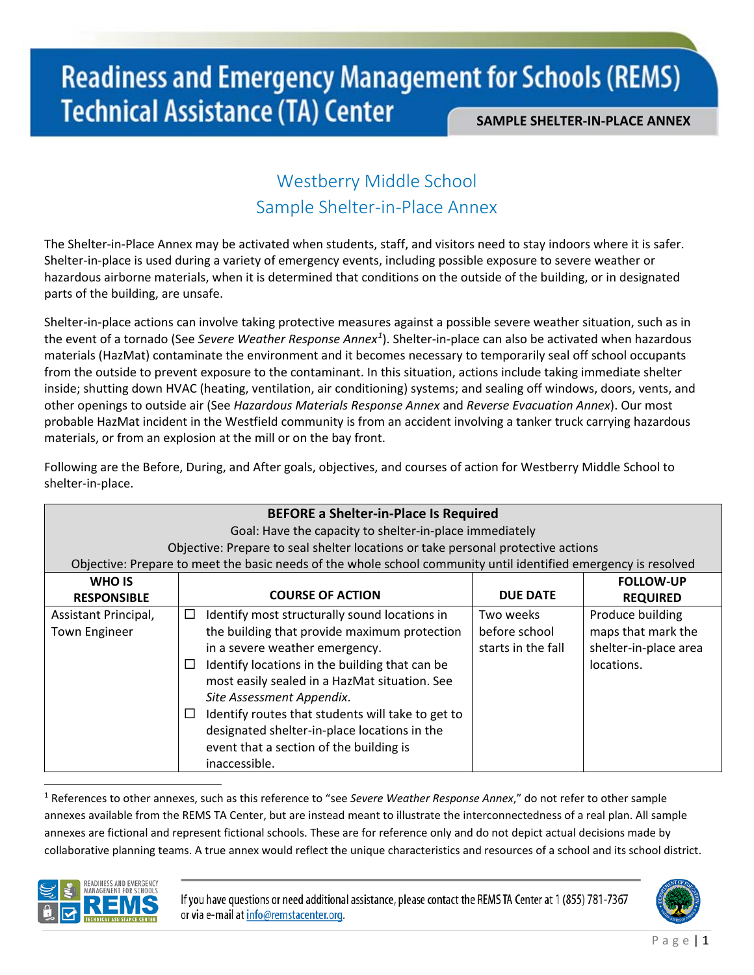# Westberry Middle School Sample Shelter-in-Place Annex

The Shelter-in-Place Annex may be activated when students, staff, and visitors need to stay indoors where it is safer. Shelter-in-place is used during a variety of emergency events, including possible exposure to severe weather or hazardous airborne materials, when it is determined that conditions on the outside of the building, or in designated parts of the building, are unsafe.

Shelter-in-place actions can involve taking protective measures against a possible severe weather situation, such as in the event of a tornado (See *Severe Weather Response Annex[1](#page-0-0)* ). Shelter-in-place can also be activated when hazardous materials (HazMat) contaminate the environment and it becomes necessary to temporarily seal off school occupants from the outside to prevent exposure to the contaminant. In this situation, actions include taking immediate shelter inside; shutting down HVAC (heating, ventilation, air conditioning) systems; and sealing off windows, doors, vents, and other openings to outside air (See *Hazardous Materials Response Annex* and *Reverse Evacuation Annex*). Our most probable HazMat incident in the Westfield community is from an accident involving a tanker truck carrying hazardous materials, or from an explosion at the mill or on the bay front.

**BEFORE a Shelter-in-Place Is Required** Goal: Have the capacity to shelter-in-place immediately Objective: Prepare to seal shelter locations or take personal protective actions Objective: Prepare to meet the basic needs of the whole school community until identified emergency is resolved **WHO IS RESPONSIBLE COURSE OF ACTION DUE DATE FOLLOW-UP REQUIRED** Assistant Principal, Town Engineer  $\Box$  Identify most structurally sound locations in the building that provide maximum protection in a severe weather emergency.  $\Box$  Identify locations in the building that can be most easily sealed in a HazMat situation. See *Site Assessment Appendix*.  $\Box$  Identify routes that students will take to get to designated shelter-in-place locations in the event that a section of the building is inaccessible. Two weeks before school starts in the fall Produce building maps that mark the shelter-in-place area locations.

Following are the Before, During, and After goals, objectives, and courses of action for Westberry Middle School to shelter-in-place.

<span id="page-0-0"></span> $\overline{a}$ <sup>1</sup> References to other annexes, such as this reference to "see *Severe Weather Response Annex*," do not refer to other sample annexes available from the REMS TA Center, but are instead meant to illustrate the interconnectedness of a real plan. All sample annexes are fictional and represent fictional schools. These are for reference only and do not depict actual decisions made by collaborative planning teams. A true annex would reflect the unique characteristics and resources of a school and its school district.



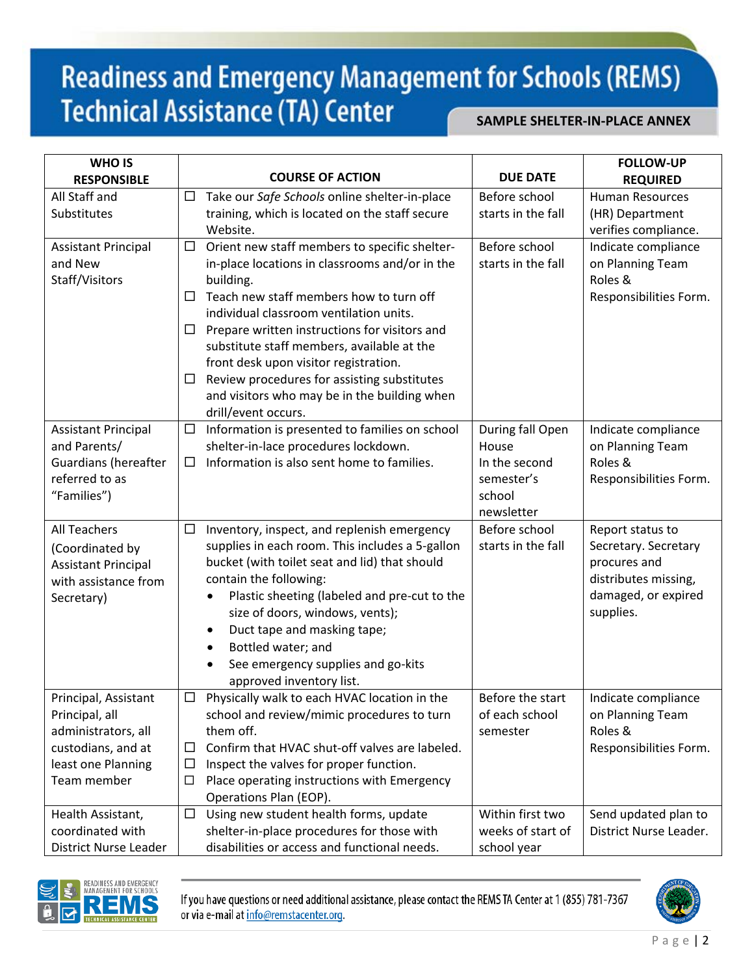| <b>WHO IS</b>                         |        | <b>COURSE OF ACTION</b>                                    | <b>DUE DATE</b>    | <b>FOLLOW-UP</b>                        |
|---------------------------------------|--------|------------------------------------------------------------|--------------------|-----------------------------------------|
| <b>RESPONSIBLE</b><br>All Staff and   |        |                                                            | Before school      | <b>REQUIRED</b>                         |
| Substitutes                           | $\Box$ | Take our Safe Schools online shelter-in-place              | starts in the fall | <b>Human Resources</b>                  |
|                                       |        | training, which is located on the staff secure<br>Website. |                    | (HR) Department<br>verifies compliance. |
|                                       | $\Box$ | Orient new staff members to specific shelter-              | Before school      | Indicate compliance                     |
| <b>Assistant Principal</b><br>and New |        | in-place locations in classrooms and/or in the             | starts in the fall | on Planning Team                        |
| Staff/Visitors                        |        | building.                                                  |                    | Roles &                                 |
|                                       | $\Box$ | Teach new staff members how to turn off                    |                    | Responsibilities Form.                  |
|                                       |        | individual classroom ventilation units.                    |                    |                                         |
|                                       | $\Box$ | Prepare written instructions for visitors and              |                    |                                         |
|                                       |        | substitute staff members, available at the                 |                    |                                         |
|                                       |        | front desk upon visitor registration.                      |                    |                                         |
|                                       | $\Box$ | Review procedures for assisting substitutes                |                    |                                         |
|                                       |        | and visitors who may be in the building when               |                    |                                         |
|                                       |        | drill/event occurs.                                        |                    |                                         |
| <b>Assistant Principal</b>            | $\Box$ | Information is presented to families on school             | During fall Open   | Indicate compliance                     |
| and Parents/                          |        | shelter-in-lace procedures lockdown.                       | House              | on Planning Team                        |
| <b>Guardians (hereafter</b>           | $\Box$ | Information is also sent home to families.                 | In the second      | Roles &                                 |
| referred to as                        |        |                                                            | semester's         | Responsibilities Form.                  |
| "Families")                           |        |                                                            | school             |                                         |
|                                       |        |                                                            | newsletter         |                                         |
| <b>All Teachers</b>                   | $\Box$ | Inventory, inspect, and replenish emergency                | Before school      | Report status to                        |
| (Coordinated by                       |        | supplies in each room. This includes a 5-gallon            | starts in the fall | Secretary. Secretary                    |
| <b>Assistant Principal</b>            |        | bucket (with toilet seat and lid) that should              |                    | procures and                            |
| with assistance from                  |        | contain the following:                                     |                    | distributes missing,                    |
| Secretary)                            |        | Plastic sheeting (labeled and pre-cut to the<br>$\bullet$  |                    | damaged, or expired                     |
|                                       |        | size of doors, windows, vents);                            |                    | supplies.                               |
|                                       |        | Duct tape and masking tape;<br>٠                           |                    |                                         |
|                                       |        | Bottled water; and<br>$\bullet$                            |                    |                                         |
|                                       |        | See emergency supplies and go-kits                         |                    |                                         |
|                                       |        | approved inventory list.                                   |                    |                                         |
| Principal, Assistant                  |        | Physically walk to each HVAC location in the               | Before the start   | Indicate compliance                     |
| Principal, all                        |        | school and review/mimic procedures to turn                 | of each school     | on Planning Team                        |
| administrators, all                   |        | them off.                                                  | semester           | Roles &                                 |
| custodians, and at                    | ⊔      | Confirm that HVAC shut-off valves are labeled.             |                    | Responsibilities Form.                  |
| least one Planning                    | $\Box$ | Inspect the valves for proper function.                    |                    |                                         |
| Team member                           | □      | Place operating instructions with Emergency                |                    |                                         |
|                                       |        | Operations Plan (EOP).                                     |                    |                                         |
| Health Assistant,                     | $\Box$ | Using new student health forms, update                     | Within first two   | Send updated plan to                    |
| coordinated with                      |        | shelter-in-place procedures for those with                 | weeks of start of  | District Nurse Leader.                  |
| District Nurse Leader                 |        | disabilities or access and functional needs.               | school year        |                                         |



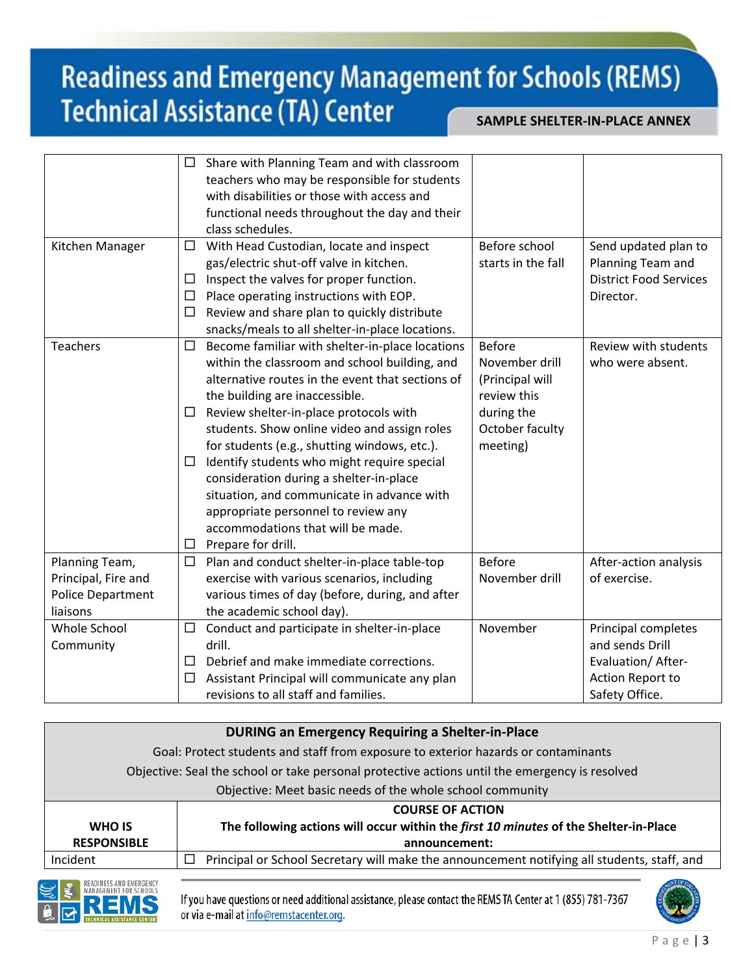|                                                                               | $\Box$           | Share with Planning Team and with classroom<br>teachers who may be responsible for students<br>with disabilities or those with access and<br>functional needs throughout the day and their<br>class schedules.                                                                                                                                                                                                                                                                                                                                                             |                                                                                                         |                                                                                                    |
|-------------------------------------------------------------------------------|------------------|----------------------------------------------------------------------------------------------------------------------------------------------------------------------------------------------------------------------------------------------------------------------------------------------------------------------------------------------------------------------------------------------------------------------------------------------------------------------------------------------------------------------------------------------------------------------------|---------------------------------------------------------------------------------------------------------|----------------------------------------------------------------------------------------------------|
| Kitchen Manager                                                               | □<br>□<br>□<br>□ | With Head Custodian, locate and inspect<br>gas/electric shut-off valve in kitchen.<br>Inspect the valves for proper function.<br>Place operating instructions with EOP.<br>Review and share plan to quickly distribute<br>snacks/meals to all shelter-in-place locations.                                                                                                                                                                                                                                                                                                  | Before school<br>starts in the fall                                                                     | Send updated plan to<br>Planning Team and<br><b>District Food Services</b><br>Director.            |
| Teachers                                                                      | □<br>ப<br>⊔<br>□ | Become familiar with shelter-in-place locations<br>within the classroom and school building, and<br>alternative routes in the event that sections of<br>the building are inaccessible.<br>Review shelter-in-place protocols with<br>students. Show online video and assign roles<br>for students (e.g., shutting windows, etc.).<br>Identify students who might require special<br>consideration during a shelter-in-place<br>situation, and communicate in advance with<br>appropriate personnel to review any<br>accommodations that will be made.<br>Prepare for drill. | Before<br>November drill<br>(Principal will<br>review this<br>during the<br>October faculty<br>meeting) | Review with students<br>who were absent.                                                           |
| Planning Team,<br>Principal, Fire and<br><b>Police Department</b><br>liaisons | $\Box$           | Plan and conduct shelter-in-place table-top<br>exercise with various scenarios, including<br>various times of day (before, during, and after<br>the academic school day).                                                                                                                                                                                                                                                                                                                                                                                                  | <b>Before</b><br>November drill                                                                         | After-action analysis<br>of exercise.                                                              |
| Whole School<br>Community                                                     | □<br>$\Box$<br>□ | Conduct and participate in shelter-in-place<br>drill.<br>Debrief and make immediate corrections.<br>Assistant Principal will communicate any plan<br>revisions to all staff and families.                                                                                                                                                                                                                                                                                                                                                                                  | November                                                                                                | Principal completes<br>and sends Drill<br>Evaluation/ After-<br>Action Report to<br>Safety Office. |

|                                                                                                | <b>DURING an Emergency Requiring a Shelter-in-Place</b>                                          |
|------------------------------------------------------------------------------------------------|--------------------------------------------------------------------------------------------------|
| Goal: Protect students and staff from exposure to exterior hazards or contaminants             |                                                                                                  |
| Objective: Seal the school or take personal protective actions until the emergency is resolved |                                                                                                  |
|                                                                                                | Objective: Meet basic needs of the whole school community                                        |
|                                                                                                | <b>COURSE OF ACTION</b>                                                                          |
| WHO IS                                                                                         | The following actions will occur within the first 10 minutes of the Shelter-in-Place             |
| <b>RESPONSIBLE</b>                                                                             | announcement:                                                                                    |
| Incident                                                                                       | Principal or School Secretary will make the announcement notifying all students, staff, and<br>ப |



If you have questions or need additional assistance, please contact the REMS TA Center at 1 (855) 781-7367 or via e-mail at info@remstacenter.org.

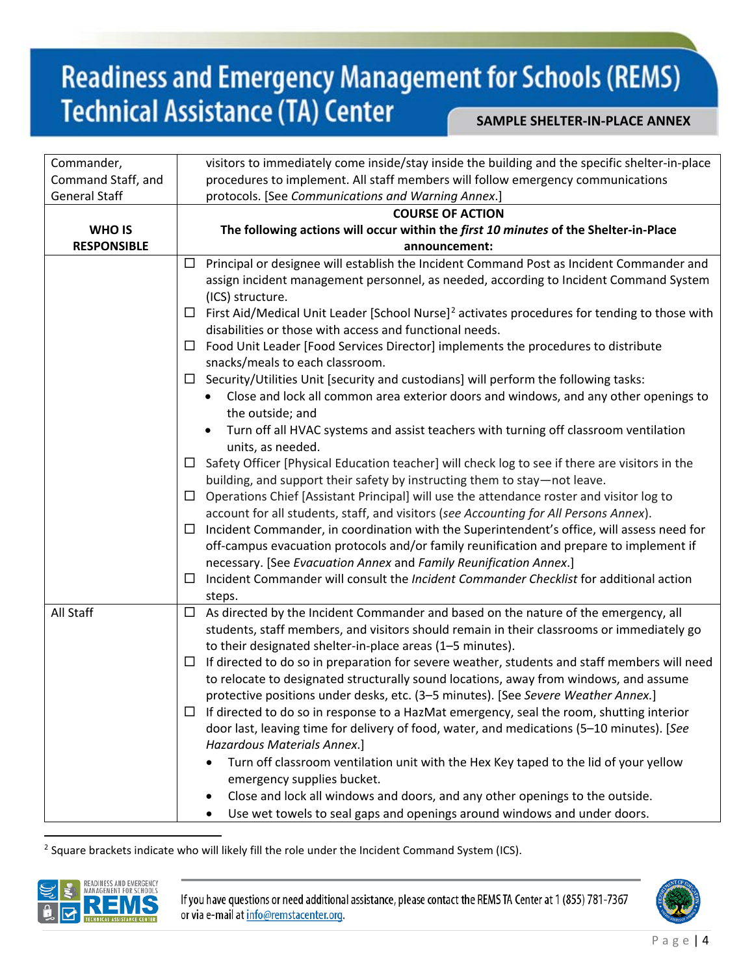| Commander,           | visitors to immediately come inside/stay inside the building and the specific shelter-in-place                |
|----------------------|---------------------------------------------------------------------------------------------------------------|
| Command Staff, and   | procedures to implement. All staff members will follow emergency communications                               |
| <b>General Staff</b> | protocols. [See Communications and Warning Annex.]                                                            |
|                      | <b>COURSE OF ACTION</b>                                                                                       |
| <b>WHO IS</b>        | The following actions will occur within the first 10 minutes of the Shelter-in-Place                          |
| <b>RESPONSIBLE</b>   | announcement:                                                                                                 |
|                      | Principal or designee will establish the Incident Command Post as Incident Commander and<br>ப                 |
|                      | assign incident management personnel, as needed, according to Incident Command System                         |
|                      | (ICS) structure.                                                                                              |
|                      | First Aid/Medical Unit Leader [School Nurse] <sup>2</sup> activates procedures for tending to those with<br>⊔ |
|                      | disabilities or those with access and functional needs.                                                       |
|                      | Food Unit Leader [Food Services Director] implements the procedures to distribute<br>$\Box$                   |
|                      | snacks/meals to each classroom.                                                                               |
|                      | $\Box$ Security/Utilities Unit [security and custodians] will perform the following tasks:                    |
|                      | Close and lock all common area exterior doors and windows, and any other openings to                          |
|                      | the outside; and                                                                                              |
|                      | Turn off all HVAC systems and assist teachers with turning off classroom ventilation                          |
|                      | units, as needed.                                                                                             |
|                      | Safety Officer [Physical Education teacher] will check log to see if there are visitors in the<br>Ш.          |
|                      | building, and support their safety by instructing them to stay-not leave.                                     |
|                      | Operations Chief [Assistant Principal] will use the attendance roster and visitor log to<br>$\Box$            |
|                      | account for all students, staff, and visitors (see Accounting for All Persons Annex).                         |
|                      | Incident Commander, in coordination with the Superintendent's office, will assess need for<br>ப               |
|                      | off-campus evacuation protocols and/or family reunification and prepare to implement if                       |
|                      | necessary. [See Evacuation Annex and Family Reunification Annex.]                                             |
|                      | Incident Commander will consult the Incident Commander Checklist for additional action<br>ப                   |
|                      | steps.                                                                                                        |
| All Staff            | As directed by the Incident Commander and based on the nature of the emergency, all<br>$\Box$                 |
|                      |                                                                                                               |
|                      | students, staff members, and visitors should remain in their classrooms or immediately go                     |
|                      | to their designated shelter-in-place areas (1-5 minutes).                                                     |
|                      | If directed to do so in preparation for severe weather, students and staff members will need<br>ப             |
|                      | to relocate to designated structurally sound locations, away from windows, and assume                         |
|                      | protective positions under desks, etc. (3-5 minutes). [See Severe Weather Annex.]                             |
|                      | If directed to do so in response to a HazMat emergency, seal the room, shutting interior<br>ப                 |
|                      | door last, leaving time for delivery of food, water, and medications (5-10 minutes). [See                     |
|                      | Hazardous Materials Annex.]                                                                                   |
|                      | Turn off classroom ventilation unit with the Hex Key taped to the lid of your yellow                          |
|                      | emergency supplies bucket.                                                                                    |
|                      | Close and lock all windows and doors, and any other openings to the outside.                                  |
|                      | Use wet towels to seal gaps and openings around windows and under doors.<br>٠                                 |
|                      |                                                                                                               |

<span id="page-3-0"></span><sup>2</sup> Square brackets indicate who will likely fill the role under the Incident Command System (ICS).



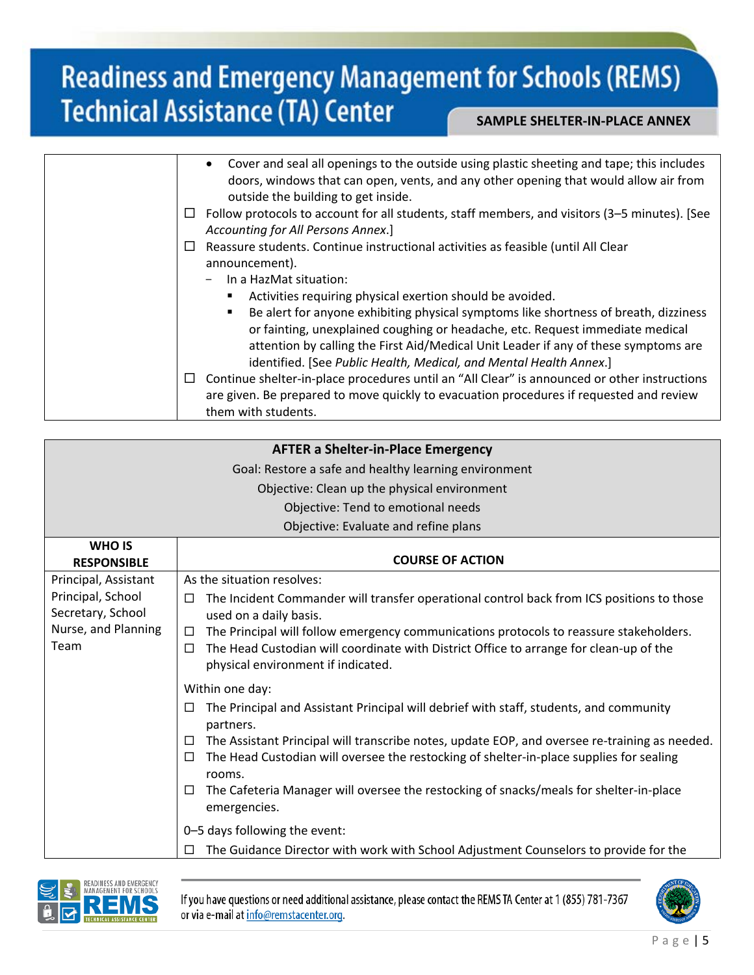|        | Cover and seal all openings to the outside using plastic sheeting and tape; this includes<br>$\bullet$<br>doors, windows that can open, vents, and any other opening that would allow air from<br>outside the building to get inside.                                                                                                                                                           |
|--------|-------------------------------------------------------------------------------------------------------------------------------------------------------------------------------------------------------------------------------------------------------------------------------------------------------------------------------------------------------------------------------------------------|
| ப      | Follow protocols to account for all students, staff members, and visitors (3-5 minutes). [See<br>Accounting for All Persons Annex.]                                                                                                                                                                                                                                                             |
| ⊔      | Reassure students. Continue instructional activities as feasible (until All Clear<br>announcement).<br>In a HazMat situation:                                                                                                                                                                                                                                                                   |
|        | Activities requiring physical exertion should be avoided.<br>Be alert for anyone exhibiting physical symptoms like shortness of breath, dizziness<br>or fainting, unexplained coughing or headache, etc. Request immediate medical<br>attention by calling the First Aid/Medical Unit Leader if any of these symptoms are<br>identified. [See Public Health, Medical, and Mental Health Annex.] |
| $\Box$ | Continue shelter-in-place procedures until an "All Clear" is announced or other instructions<br>are given. Be prepared to move quickly to evacuation procedures if requested and review<br>them with students.                                                                                                                                                                                  |

|                      | <b>AFTER a Shelter-in-Place Emergency</b>                                                                                         |
|----------------------|-----------------------------------------------------------------------------------------------------------------------------------|
|                      |                                                                                                                                   |
|                      | Goal: Restore a safe and healthy learning environment                                                                             |
|                      | Objective: Clean up the physical environment                                                                                      |
|                      | Objective: Tend to emotional needs                                                                                                |
|                      | Objective: Evaluate and refine plans                                                                                              |
| <b>WHO IS</b>        |                                                                                                                                   |
| <b>RESPONSIBLE</b>   | <b>COURSE OF ACTION</b>                                                                                                           |
| Principal, Assistant | As the situation resolves:                                                                                                        |
| Principal, School    | The Incident Commander will transfer operational control back from ICS positions to those<br>$\Box$                               |
| Secretary, School    | used on a daily basis.                                                                                                            |
| Nurse, and Planning  | The Principal will follow emergency communications protocols to reassure stakeholders.<br>□                                       |
| Team                 | The Head Custodian will coordinate with District Office to arrange for clean-up of the<br>□<br>physical environment if indicated. |
|                      | Within one day:                                                                                                                   |
|                      | The Principal and Assistant Principal will debrief with staff, students, and community<br>□<br>partners.                          |
|                      | The Assistant Principal will transcribe notes, update EOP, and oversee re-training as needed.<br>$\Box$                           |
|                      | The Head Custodian will oversee the restocking of shelter-in-place supplies for sealing<br>$\Box$                                 |
|                      | rooms.                                                                                                                            |
|                      | The Cafeteria Manager will oversee the restocking of snacks/meals for shelter-in-place<br>□<br>emergencies.                       |
|                      | 0-5 days following the event:                                                                                                     |
|                      | The Guidance Director with work with School Adjustment Counselors to provide for the                                              |